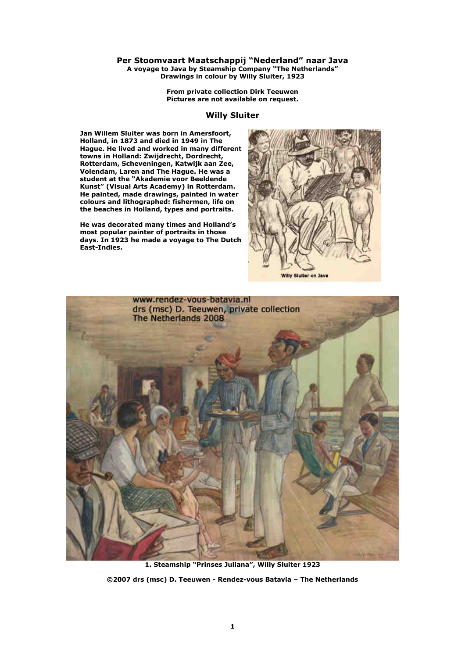## **Per Stoomvaart Maatschappij "Nederland" naar Java A voyage to Java by Steamship Company "The Netherlands" Drawings in colour by Willy Sluiter, 1923**

**From private collection Dirk Teeuwen Pictures are not available on request.** 

## **Willy Sluiter**

**Jan Willem Sluiter was born in Amersfoort, Holland, in 1873 and died in 1949 in The Hague. He lived and worked in many different towns in Holland: Zwijdrecht, Dordrecht, Rotterdam, Scheveningen, Katwijk aan Zee, Volendam, Laren and The Hague. He was a student at the "Akademie voor Beeldende Kunst" (Visual Arts Academy) in Rotterdam. He painted, made drawings, painted in water colours and lithographed: fishermen, life on the beaches in Holland, types and portraits.** 

**He was decorated many times and Holland's most popular painter of portraits in those days. In 1923 he made a voyage to The Dutch East-Indies.** 





**1. Steamship "Prinses Juliana", Willy Sluiter 1923 ©2007 drs (msc) D. Teeuwen - Rendez-vous Batavia – The Netherlands**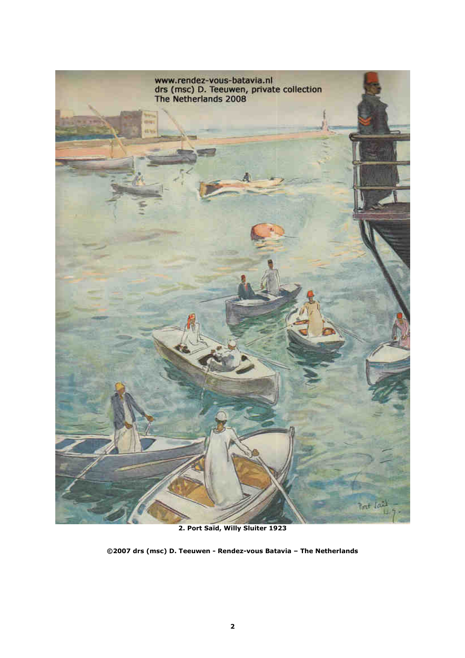

**2. Port Saïd, Willy Sluiter 1923**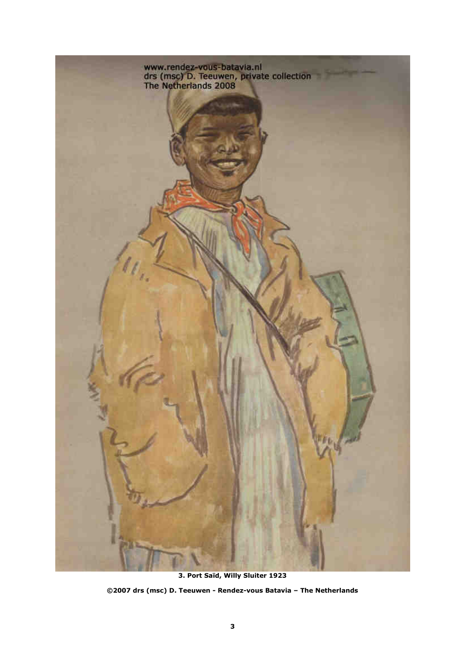

**3. Port Saïd, Willy Sluiter 1923 ©2007 drs (msc) D. Teeuwen - Rendez-vous Batavia – The Netherlands**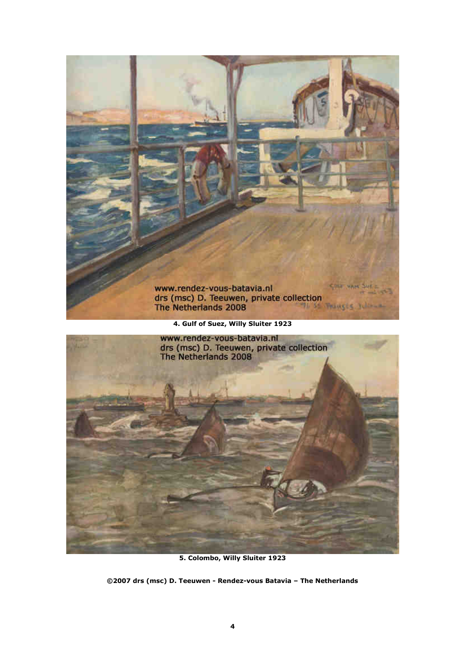

**5. Colombo, Willy Sluiter 1923**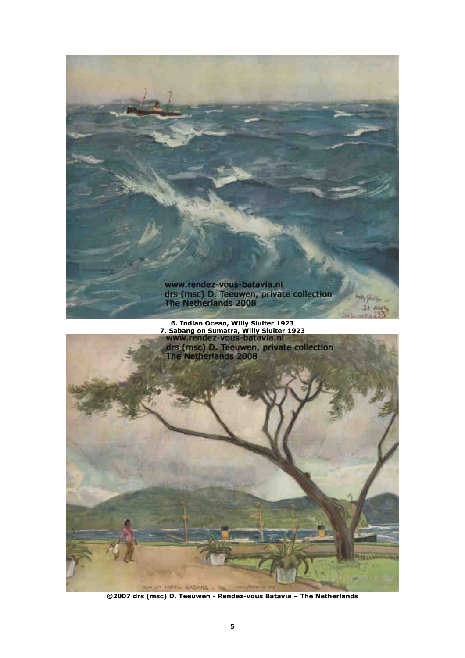

**©2007 drs (msc) D. Teeuwen - Rendez-vous Batavia – The Netherlands** 

THE THEFT WE GALLAND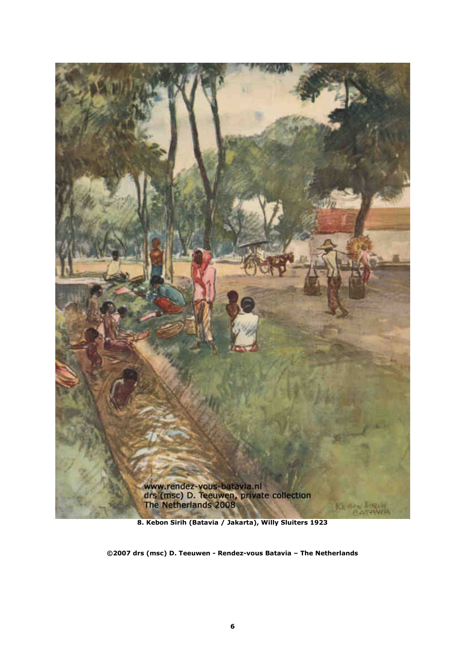

**8. Kebon Sirih (Batavia / Jakarta), Willy Sluiters 1923**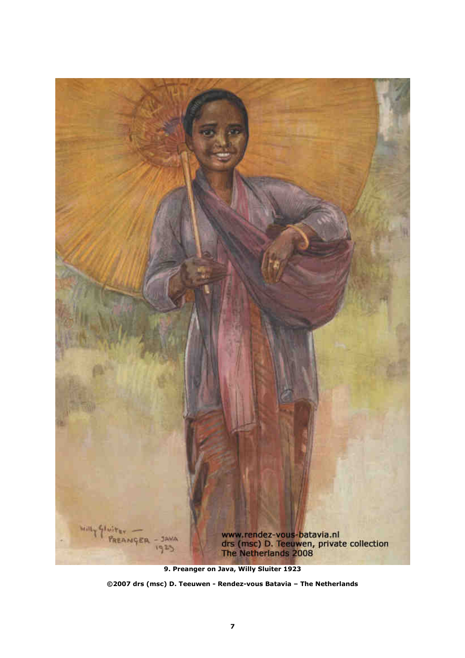

**<sup>9.</sup> Preanger on Java, Willy Sluiter 1923** 

**<sup>©2007</sup> drs (msc) D. Teeuwen - Rendez-vous Batavia – The Netherlands**